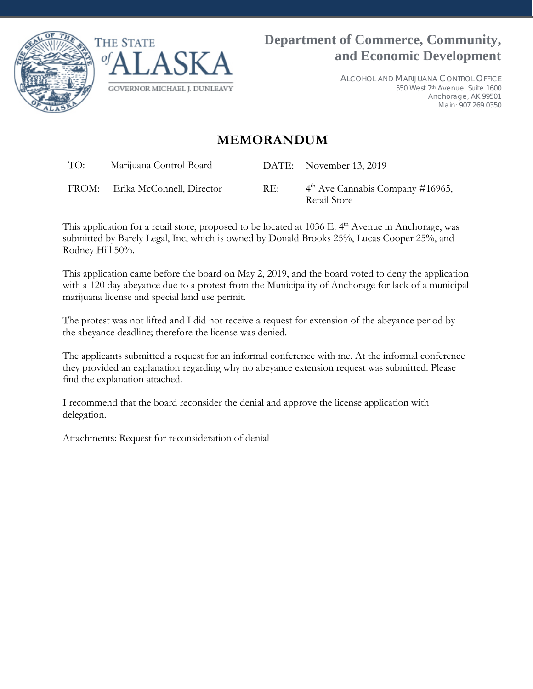



ALCOHOL AND MARIJUANA CONTROL OFFICE 550 West 7th Avenue, Suite 1600 Anchorage, AK 99501 Main: 907.269.0350

## **MEMORANDUM**

TO: Marijuana Control Board DATE: November 13, 2019

FROM: Erika McConnell, Director RE:  $4<sup>th</sup>$  Ave Cannabis Company #16965, Retail Store

This application for a retail store, proposed to be located at 1036 E. 4<sup>th</sup> Avenue in Anchorage, was submitted by Barely Legal, Inc, which is owned by Donald Brooks 25%, Lucas Cooper 25%, and Rodney Hill 50%.

This application came before the board on May 2, 2019, and the board voted to deny the application with a 120 day abeyance due to a protest from the Municipality of Anchorage for lack of a municipal marijuana license and special land use permit.

The protest was not lifted and I did not receive a request for extension of the abeyance period by the abeyance deadline; therefore the license was denied.

The applicants submitted a request for an informal conference with me. At the informal conference they provided an explanation regarding why no abeyance extension request was submitted. Please find the explanation attached.

I recommend that the board reconsider the denial and approve the license application with delegation.

Attachments: Request for reconsideration of denial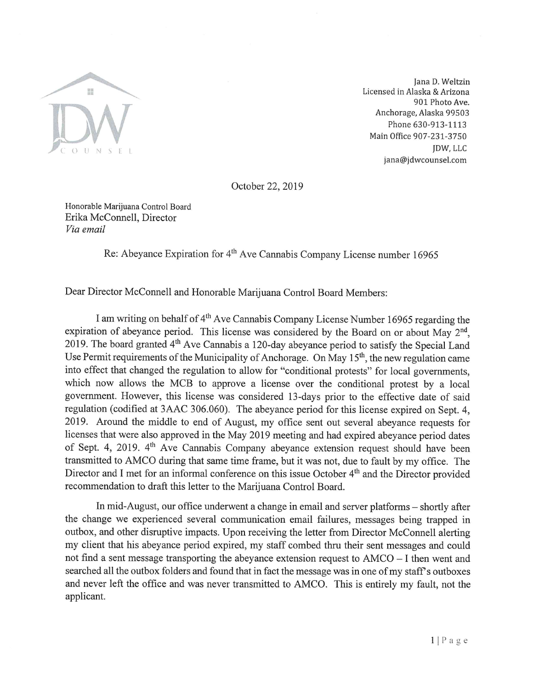

Jana D. Weltzin Licensed in Alaska & Arizona 901 Photo Ave. Anchorage, Alaska 99503 Phone 630-913-1113 Main Office 907-231-3750 JDW, LLC jana@jdwcounsel.com

October 22, 2019

Honorable Marijuana Control Board Erika McConnell, Director Via email

Re: Abeyance Expiration for 4<sup>th</sup> Ave Cannabis Company License number 16965

Dear Director McConnell and Honorable Marijuana Control Board Members:

I am writing on behalf of 4<sup>th</sup> Ave Cannabis Company License Number 16965 regarding the expiration of abeyance period. This license was considered by the Board on or about May 2<sup>nd</sup>, 2019. The board granted 4<sup>th</sup> Ave Cannabis a 120-day abeyance period to satisfy the Special Land Use Permit requirements of the Municipality of Anchorage. On May 15<sup>th</sup>, the new regulation came into effect that changed the regulation to allow for "conditional protests" for local governments, which now allows the MCB to approve a license over the conditional protest by a local government. However, this license was considered 13-days prior to the effective date of said regulation (codified at 3AAC 306.060). The abeyance period for this license expired on Sept. 4. 2019. Around the middle to end of August, my office sent out several abevance requests for licenses that were also approved in the May 2019 meeting and had expired abeyance period dates of Sept. 4, 2019. 4<sup>th</sup> Ave Cannabis Company abeyance extension request should have been transmitted to AMCO during that same time frame, but it was not, due to fault by my office. The Director and I met for an informal conference on this issue October 4<sup>th</sup> and the Director provided recommendation to draft this letter to the Marijuana Control Board.

In mid-August, our office underwent a change in email and server platforms – shortly after the change we experienced several communication email failures, messages being trapped in outbox, and other disruptive impacts. Upon receiving the letter from Director McConnell alerting my client that his abeyance period expired, my staff combed thru their sent messages and could not find a sent message transporting the abeyance extension request to AMCO – I then went and searched all the outbox folders and found that in fact the message was in one of my staff's outboxes and never left the office and was never transmitted to AMCO. This is entirely my fault, not the applicant.